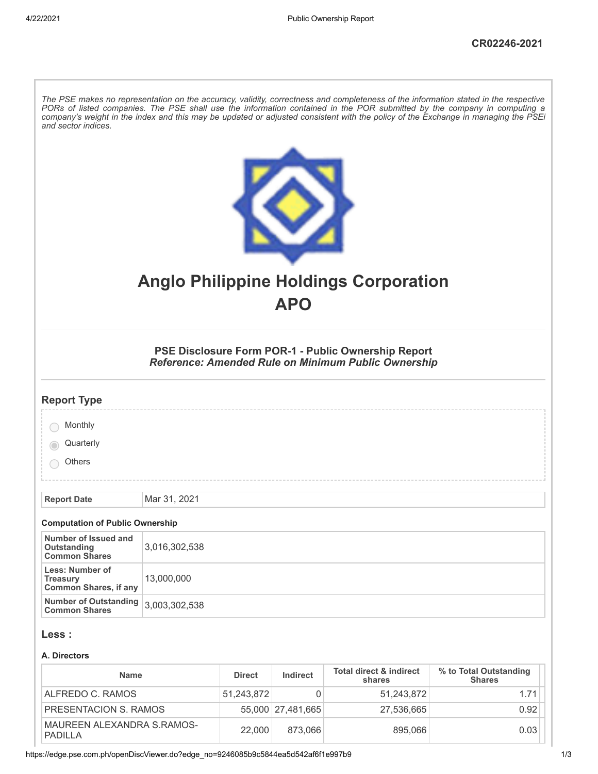| The PSE makes no representation on the accuracy, validity, correctness and completeness of the information stated in the respective<br>PORs of listed companies. The PSE shall use the information contained in the POR submitted by the company in computing a<br>company's weight in the index and this may be updated or adjusted consistent with the policy of the Exchange in managing the PSEi<br>and sector indices. |                                                                                                            |  |  |  |
|-----------------------------------------------------------------------------------------------------------------------------------------------------------------------------------------------------------------------------------------------------------------------------------------------------------------------------------------------------------------------------------------------------------------------------|------------------------------------------------------------------------------------------------------------|--|--|--|
|                                                                                                                                                                                                                                                                                                                                                                                                                             | <b>Anglo Philippine Holdings Corporation</b><br><b>APO</b>                                                 |  |  |  |
|                                                                                                                                                                                                                                                                                                                                                                                                                             | PSE Disclosure Form POR-1 - Public Ownership Report<br>Reference: Amended Rule on Minimum Public Ownership |  |  |  |
| <b>Report Type</b>                                                                                                                                                                                                                                                                                                                                                                                                          |                                                                                                            |  |  |  |
| Monthly                                                                                                                                                                                                                                                                                                                                                                                                                     |                                                                                                            |  |  |  |
| Quarterly                                                                                                                                                                                                                                                                                                                                                                                                                   |                                                                                                            |  |  |  |
| Others                                                                                                                                                                                                                                                                                                                                                                                                                      |                                                                                                            |  |  |  |
|                                                                                                                                                                                                                                                                                                                                                                                                                             |                                                                                                            |  |  |  |
| <b>Report Date</b>                                                                                                                                                                                                                                                                                                                                                                                                          | Mar 31, 2021                                                                                               |  |  |  |
| <b>Computation of Public Ownership</b>                                                                                                                                                                                                                                                                                                                                                                                      |                                                                                                            |  |  |  |
| Number of Issued and<br><b>Outstanding</b><br><b>Common Shares</b>                                                                                                                                                                                                                                                                                                                                                          | 3,016,302,538                                                                                              |  |  |  |
| Less: Number of<br><b>Treasury</b><br><b>Common Shares, if any</b>                                                                                                                                                                                                                                                                                                                                                          | 13,000,000                                                                                                 |  |  |  |
| <b>Number of Outstanding</b><br><b>Common Shares</b>                                                                                                                                                                                                                                                                                                                                                                        | 3,003,302,538                                                                                              |  |  |  |
| Less :                                                                                                                                                                                                                                                                                                                                                                                                                      |                                                                                                            |  |  |  |
| A. Directors                                                                                                                                                                                                                                                                                                                                                                                                                |                                                                                                            |  |  |  |

| <b>Name</b>                           | <b>Direct</b> | Indirect            | <b>Total direct &amp; indirect</b><br>shares | % to Total Outstanding<br><b>Shares</b> |  |
|---------------------------------------|---------------|---------------------|----------------------------------------------|-----------------------------------------|--|
| ALFREDO C. RAMOS                      | 51.243.872    |                     | 51.243.872                                   | 1.71                                    |  |
| PRESENTACION S. RAMOS                 |               | 55,000   27,481,665 | 27,536,665                                   | 0.92                                    |  |
| MAUREEN ALEXANDRA S.RAMOS-<br>PADILLA | 22,000        | 873.066             | 895,066                                      | 0.03                                    |  |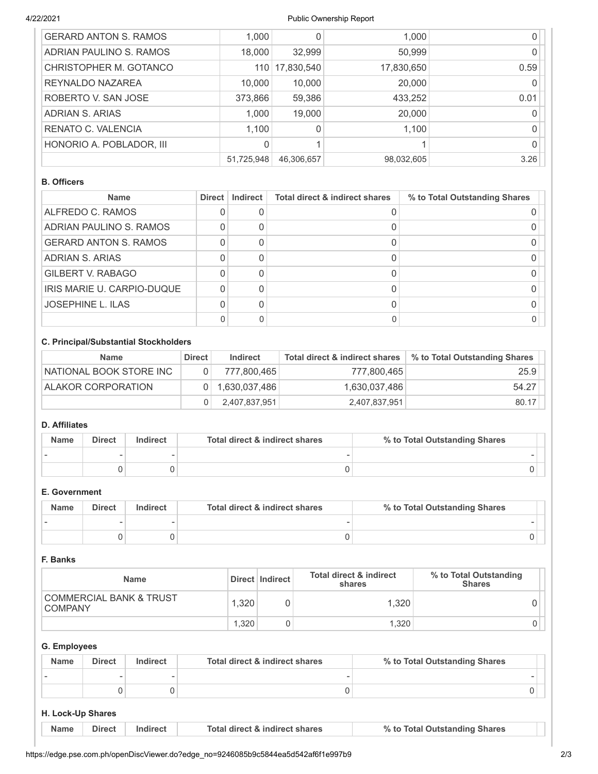## 4/22/2021 Public Ownership Report

| <b>GERARD ANTON S. RAMOS</b> | 1,000      |            | 1,000      |      |
|------------------------------|------------|------------|------------|------|
| ADRIAN PAULINO S. RAMOS      | 18,000     | 32,999     | 50,999     |      |
| CHRISTOPHER M. GOTANCO       | 110        | 17,830,540 | 17,830,650 | 0.59 |
| REYNALDO NAZAREA             | 10,000     | 10,000     | 20,000     |      |
| ROBERTO V. SAN JOSE          | 373,866    | 59,386     | 433,252    | 0.01 |
| ADRIAN S. ARIAS              | 1,000      | 19,000     | 20,000     |      |
| RENATO C. VALENCIA           | 1,100      |            | 1,100      |      |
| HONORIO A. POBLADOR, III     | 0          |            |            |      |
|                              | 51,725,948 | 46,306,657 | 98,032,605 | 3.26 |

## **B. Officers**

| <b>Name</b>                  | Direct | Indirect | <b>Total direct &amp; indirect shares</b> | % to Total Outstanding Shares |
|------------------------------|--------|----------|-------------------------------------------|-------------------------------|
| ALFREDO C. RAMOS             |        |          |                                           |                               |
| ADRIAN PAULINO S. RAMOS      |        |          |                                           |                               |
| <b>GERARD ANTON S. RAMOS</b> |        |          |                                           |                               |
| ADRIAN S. ARIAS              |        |          |                                           |                               |
| <b>GILBERT V. RABAGO</b>     |        |          |                                           |                               |
| IRIS MARIE U. CARPIO-DUQUE   |        |          |                                           |                               |
| <b>JOSEPHINE L. ILAS</b>     |        |          |                                           |                               |
|                              |        |          |                                           |                               |

## **C. Principal/Substantial Stockholders**

| <b>Name</b>             | <b>Direct</b> | Indirect      | Total direct & indirect shares | % to Total Outstanding Shares |
|-------------------------|---------------|---------------|--------------------------------|-------------------------------|
| NATIONAL BOOK STORE INC |               | 777.800.465   | 777,800,465                    | 25.9                          |
| ALAKOR CORPORATION      |               | 1,630,037,486 | 1,630,037,486                  | 54.27                         |
|                         |               | 2,407,837,951 | 2,407,837,951                  | 80.17                         |

# **D. Affiliates**

| <b>Name</b> | <b>Direct</b> | Indirect | Total direct & indirect shares | % to Total Outstanding Shares |
|-------------|---------------|----------|--------------------------------|-------------------------------|
|             |               |          |                                |                               |
|             |               |          |                                |                               |

## **E. Government**

| <b>Name</b> | <b>Direct</b> | Indirect | Total direct & indirect shares | % to Total Outstanding Shares |
|-------------|---------------|----------|--------------------------------|-------------------------------|
|             |               |          |                                |                               |
|             |               |          |                                |                               |

## **F. Banks**

| <b>Name</b>                                          |       | Direct   Indirect | <b>Total direct &amp; indirect</b><br>shares | % to Total Outstanding<br><b>Shares</b> |
|------------------------------------------------------|-------|-------------------|----------------------------------------------|-----------------------------------------|
| <b>COMMERCIAL BANK &amp; TRUST</b><br><b>COMPANY</b> | 1.320 |                   | 1.320                                        |                                         |
|                                                      | 1.320 |                   | 1.320                                        |                                         |

# **G. Employees**

| <b>Name</b> | <b>Direct</b> | Indirect | Total direct & indirect shares | % to Total Outstanding Shares |  |
|-------------|---------------|----------|--------------------------------|-------------------------------|--|
|             |               |          |                                |                               |  |
|             |               |          |                                |                               |  |

### **H. Lock-Up Shares**

| <b>Name</b> | <b>Direct</b> | Indirect | Total direct & indirect shares | % to Total Outstanding Shares |
|-------------|---------------|----------|--------------------------------|-------------------------------|
|-------------|---------------|----------|--------------------------------|-------------------------------|